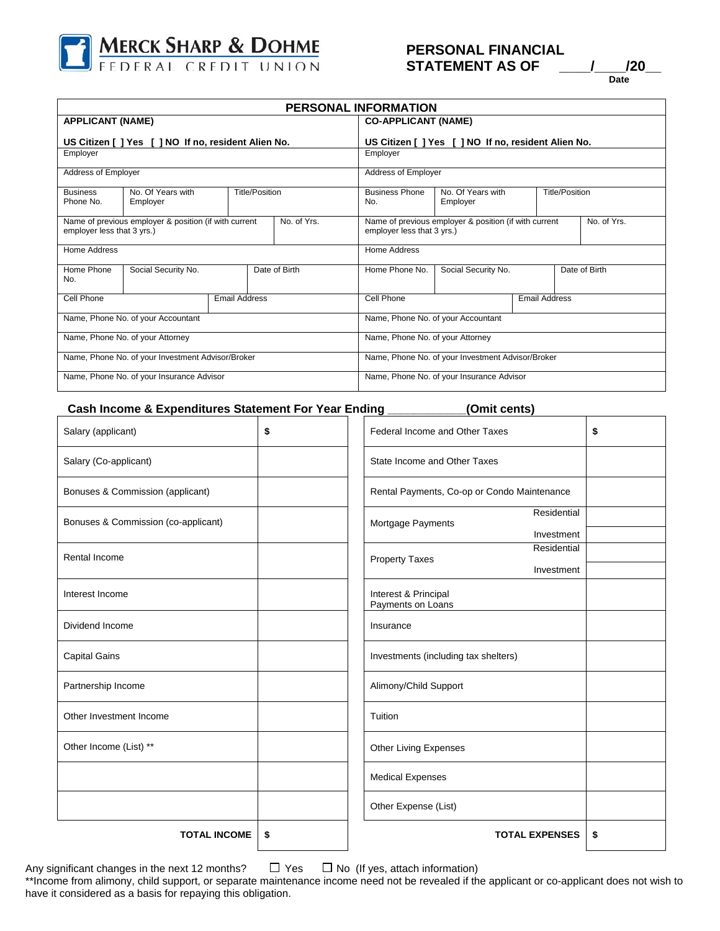

## **PERSONAL FINANCIAL**

**STATEMENT AS OF \_\_\_\_/\_\_\_\_/20\_\_** 

 **Date**

| <b>PERSONAL INFORMATION</b>                         |                                                                                                    |                      |                                    |                                                                                                    |                              |                                           |  |                       |               |
|-----------------------------------------------------|----------------------------------------------------------------------------------------------------|----------------------|------------------------------------|----------------------------------------------------------------------------------------------------|------------------------------|-------------------------------------------|--|-----------------------|---------------|
| <b>APPLICANT (NAME)</b>                             |                                                                                                    |                      |                                    |                                                                                                    |                              | <b>CO-APPLICANT (NAME)</b>                |  |                       |               |
| US Citizen [ ] Yes [ ] NO If no, resident Alien No. |                                                                                                    |                      |                                    | US Citizen [ ] Yes [ ] NO If no, resident Alien No.                                                |                              |                                           |  |                       |               |
| Employer                                            |                                                                                                    |                      |                                    |                                                                                                    | Employer                     |                                           |  |                       |               |
| Address of Employer                                 |                                                                                                    |                      |                                    |                                                                                                    | Address of Employer          |                                           |  |                       |               |
| <b>Business</b><br>Phone No.                        | No. Of Years with<br>Employer                                                                      |                      | <b>Title/Position</b>              |                                                                                                    | <b>Business Phone</b><br>No. | No. Of Years with<br>Employer             |  | <b>Title/Position</b> |               |
|                                                     | No. of Yrs.<br>Name of previous employer & position (if with current<br>employer less that 3 yrs.) |                      |                                    | No. of Yrs.<br>Name of previous employer & position (if with current<br>employer less that 3 yrs.) |                              |                                           |  |                       |               |
| Home Address                                        |                                                                                                    |                      |                                    | <b>Home Address</b>                                                                                |                              |                                           |  |                       |               |
| Home Phone<br>No.                                   | Social Security No.                                                                                |                      |                                    | Date of Birth                                                                                      | Home Phone No.               | Social Security No.                       |  |                       | Date of Birth |
| Cell Phone                                          |                                                                                                    | <b>Email Address</b> |                                    |                                                                                                    | Cell Phone                   | <b>Email Address</b>                      |  |                       |               |
|                                                     | Name, Phone No. of your Accountant                                                                 |                      | Name, Phone No. of your Accountant |                                                                                                    |                              |                                           |  |                       |               |
| Name, Phone No. of your Attorney                    |                                                                                                    |                      | Name, Phone No. of your Attorney   |                                                                                                    |                              |                                           |  |                       |               |
| Name, Phone No. of your Investment Advisor/Broker   |                                                                                                    |                      |                                    | Name, Phone No. of your Investment Advisor/Broker                                                  |                              |                                           |  |                       |               |
|                                                     | Name, Phone No. of your Insurance Advisor                                                          |                      |                                    |                                                                                                    |                              | Name, Phone No. of your Insurance Advisor |  |                       |               |

# **Cash Income & Expenditures Statement For Year Ending \_\_\_\_\_\_\_\_\_\_\_\_(Omit cents)**

| Salary (applicant)                  | \$<br>Federal Income and Other Taxes           | \$ |
|-------------------------------------|------------------------------------------------|----|
| Salary (Co-applicant)               | State Income and Other Taxes                   |    |
| Bonuses & Commission (applicant)    | Rental Payments, Co-op or Condo Maintenance    |    |
| Bonuses & Commission (co-applicant) | Residential<br>Mortgage Payments<br>Investment |    |
|                                     | Residential                                    |    |
| <b>Rental Income</b>                | <b>Property Taxes</b><br>Investment            |    |
| Interest Income                     | Interest & Principal<br>Payments on Loans      |    |
| Dividend Income                     | Insurance                                      |    |
| <b>Capital Gains</b>                | Investments (including tax shelters)           |    |
| Partnership Income                  | Alimony/Child Support                          |    |
| Other Investment Income             | Tuition                                        |    |
| Other Income (List) **              | <b>Other Living Expenses</b>                   |    |
|                                     | <b>Medical Expenses</b>                        |    |
|                                     | Other Expense (List)                           |    |
| <b>TOTAL INCOME</b>                 | \$<br><b>TOTAL EXPENSES</b>                    | \$ |

Any significant changes in the next 12 months?  $\Box$  Yes  $\Box$  No (If yes, attach information)

\*\*Income from alimony, child support, or separate maintenance income need not be revealed if the applicant or co-applicant does not wish to have it considered as a basis for repaying this obligation.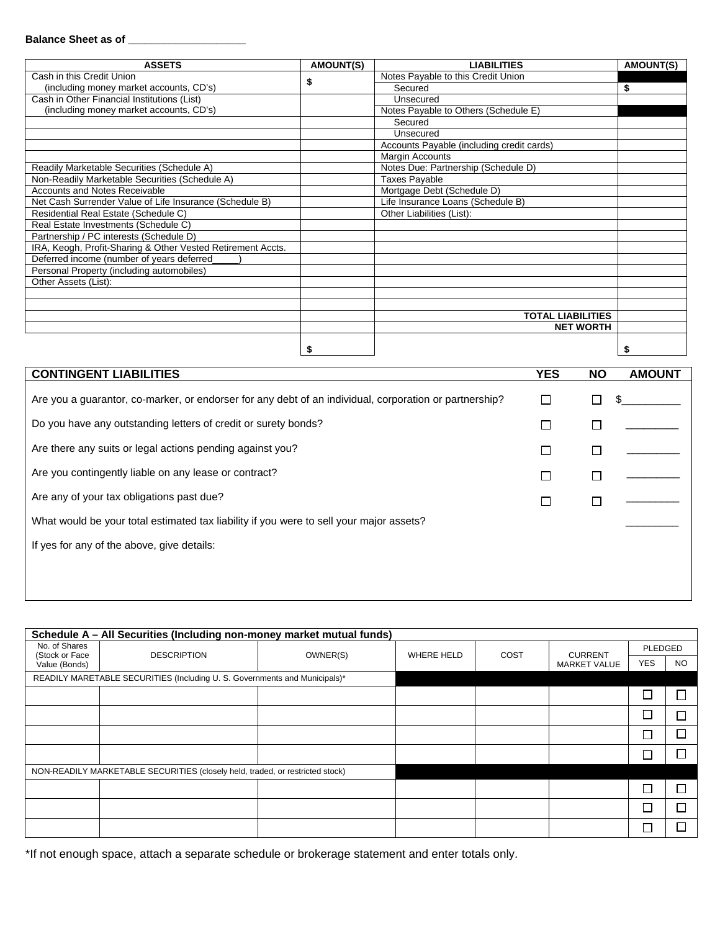### **Balance Sheet as of \_\_\_\_\_\_\_\_\_\_\_\_\_\_\_\_\_\_\_\_**

| <b>ASSETS</b>                                               | <b>AMOUNT(S)</b> | <b>LIABILITIES</b>                        | <b>AMOUNT(S)</b> |
|-------------------------------------------------------------|------------------|-------------------------------------------|------------------|
| Cash in this Credit Union                                   |                  | Notes Payable to this Credit Union        |                  |
| (including money market accounts, CD's)                     | S                | Secured                                   | \$               |
| Cash in Other Financial Institutions (List)                 |                  | Unsecured                                 |                  |
| (including money market accounts, CD's)                     |                  | Notes Payable to Others (Schedule E)      |                  |
|                                                             |                  | Secured                                   |                  |
|                                                             |                  | Unsecured                                 |                  |
|                                                             |                  | Accounts Payable (including credit cards) |                  |
|                                                             |                  | Margin Accounts                           |                  |
| Readily Marketable Securities (Schedule A)                  |                  | Notes Due: Partnership (Schedule D)       |                  |
| Non-Readily Marketable Securities (Schedule A)              |                  | Taxes Payable                             |                  |
| <b>Accounts and Notes Receivable</b>                        |                  | Mortgage Debt (Schedule D)                |                  |
| Net Cash Surrender Value of Life Insurance (Schedule B)     |                  | Life Insurance Loans (Schedule B)         |                  |
| Residential Real Estate (Schedule C)                        |                  | Other Liabilities (List):                 |                  |
| Real Estate Investments (Schedule C)                        |                  |                                           |                  |
| Partnership / PC interests (Schedule D)                     |                  |                                           |                  |
| IRA, Keogh, Profit-Sharing & Other Vested Retirement Accts. |                  |                                           |                  |
| Deferred income (number of years deferred                   |                  |                                           |                  |
| Personal Property (including automobiles)                   |                  |                                           |                  |
| Other Assets (List):                                        |                  |                                           |                  |
|                                                             |                  |                                           |                  |
|                                                             |                  |                                           |                  |
|                                                             |                  | <b>TOTAL LIABILITIES</b>                  |                  |
|                                                             |                  | <b>NET WORTH</b>                          |                  |
|                                                             |                  |                                           |                  |
|                                                             |                  |                                           | \$               |

| <b>CONTINGENT LIABILITIES</b>                                                                          | <b>YES</b>    | <b>NO</b><br><b>AMOUNT</b> |
|--------------------------------------------------------------------------------------------------------|---------------|----------------------------|
| Are you a guarantor, co-marker, or endorser for any debt of an individual, corporation or partnership? | $\mathcal{L}$ | S<br>$\Box$                |
| Do you have any outstanding letters of credit or surety bonds?                                         | $\Box$        | П                          |
| Are there any suits or legal actions pending against you?                                              | $\mathbf{L}$  | $\Box$                     |
| Are you contingently liable on any lease or contract?                                                  | $\mathbf{L}$  |                            |
| Are any of your tax obligations past due?                                                              |               |                            |
| What would be your total estimated tax liability if you were to sell your major assets?                |               |                            |
| If yes for any of the above, give details:                                                             |               |                            |
|                                                                                                        |               |                            |
|                                                                                                        |               |                            |

| Schedule A - All Securities (Including non-money market mutual funds) |                                                                               |          |                   |      |                     |                |     |  |  |  |  |
|-----------------------------------------------------------------------|-------------------------------------------------------------------------------|----------|-------------------|------|---------------------|----------------|-----|--|--|--|--|
| No. of Shares<br>(Stock or Face<br><b>DESCRIPTION</b>                 |                                                                               | OWNER(S) | <b>WHERE HELD</b> | COST | <b>CURRENT</b>      | <b>PLEDGED</b> |     |  |  |  |  |
| Value (Bonds)                                                         |                                                                               |          |                   |      | <b>MARKET VALUE</b> | <b>YES</b>     | NO. |  |  |  |  |
|                                                                       | READILY MARETABLE SECURITIES (Including U.S. Governments and Municipals)*     |          |                   |      |                     |                |     |  |  |  |  |
|                                                                       |                                                                               |          |                   |      |                     |                |     |  |  |  |  |
|                                                                       |                                                                               |          |                   |      |                     |                |     |  |  |  |  |
|                                                                       |                                                                               |          |                   |      |                     | г              |     |  |  |  |  |
|                                                                       |                                                                               |          |                   |      |                     |                |     |  |  |  |  |
|                                                                       | NON-READILY MARKETABLE SECURITIES (closely held, traded, or restricted stock) |          |                   |      |                     |                |     |  |  |  |  |
|                                                                       |                                                                               |          |                   |      |                     |                |     |  |  |  |  |
|                                                                       |                                                                               |          |                   |      |                     |                |     |  |  |  |  |
|                                                                       |                                                                               |          |                   |      |                     |                |     |  |  |  |  |

\*If not enough space, attach a separate schedule or brokerage statement and enter totals only.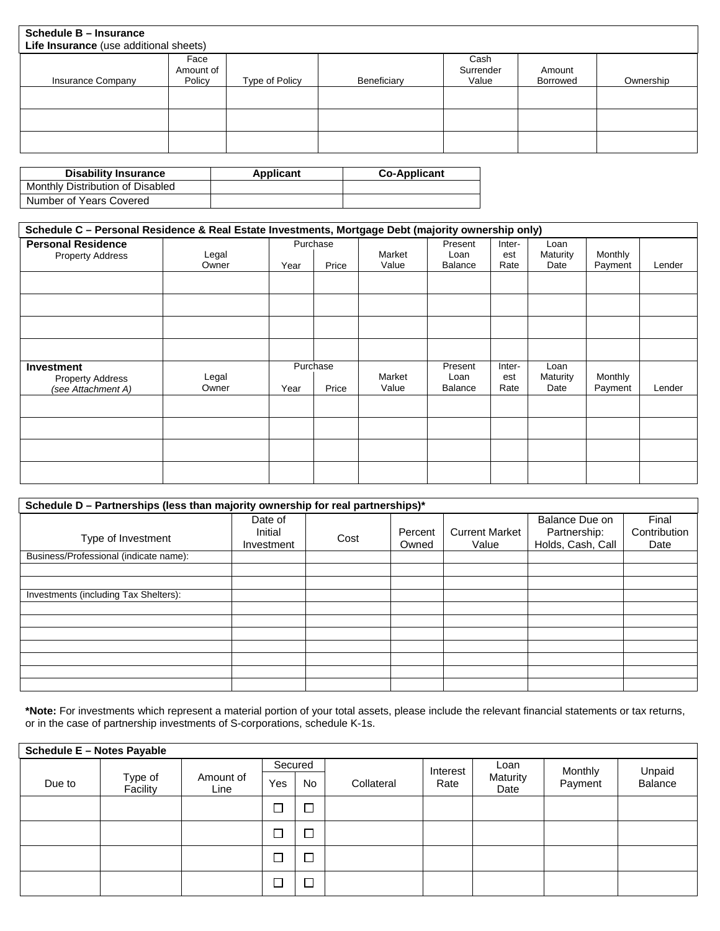| Schedule B - Insurance<br>Life Insurance (use additional sheets) |                             |                |             |                            |                    |           |  |  |  |
|------------------------------------------------------------------|-----------------------------|----------------|-------------|----------------------------|--------------------|-----------|--|--|--|
| <b>Insurance Company</b>                                         | Face<br>Amount of<br>Policy | Type of Policy | Beneficiary | Cash<br>Surrender<br>Value | Amount<br>Borrowed | Ownership |  |  |  |
|                                                                  |                             |                |             |                            |                    |           |  |  |  |
|                                                                  |                             |                |             |                            |                    |           |  |  |  |
|                                                                  |                             |                |             |                            |                    |           |  |  |  |

| <b>Disability Insurance</b>      | Applicant | <b>Co-Applicant</b> |
|----------------------------------|-----------|---------------------|
| Monthly Distribution of Disabled |           |                     |
| Number of Years Covered          |           |                     |

#### **Schedule C – Personal Residence & Real Estate Investments, Mortgage Debt (majority ownership only) Personal Residence**  Property Address Legal **Owner** Purchase Market Value Present Loan Balance Interest Rate Loan Maturity Date Monthly Year Price Value Balance Rate Date Payment Lender **Investment**  Property Address *(see Attachment A)*  Legal **Owner** Purchase Market Value Present Loan Balance Interest Rate Loan Maturity Date Monthly Year Price Value Balance Rate Date Payment Lender

| Schedule D - Partnerships (less than majority ownership for real partnerships)* |                       |      |                  |                                |                                   |                      |  |  |  |
|---------------------------------------------------------------------------------|-----------------------|------|------------------|--------------------------------|-----------------------------------|----------------------|--|--|--|
|                                                                                 | Date of               |      |                  |                                | Balance Due on                    | Final                |  |  |  |
| Type of Investment                                                              | Initial<br>Investment | Cost | Percent<br>Owned | <b>Current Market</b><br>Value | Partnership:<br>Holds, Cash, Call | Contribution<br>Date |  |  |  |
| Business/Professional (indicate name):                                          |                       |      |                  |                                |                                   |                      |  |  |  |
|                                                                                 |                       |      |                  |                                |                                   |                      |  |  |  |
|                                                                                 |                       |      |                  |                                |                                   |                      |  |  |  |
| Investments (including Tax Shelters):                                           |                       |      |                  |                                |                                   |                      |  |  |  |
|                                                                                 |                       |      |                  |                                |                                   |                      |  |  |  |
|                                                                                 |                       |      |                  |                                |                                   |                      |  |  |  |
|                                                                                 |                       |      |                  |                                |                                   |                      |  |  |  |
|                                                                                 |                       |      |                  |                                |                                   |                      |  |  |  |
|                                                                                 |                       |      |                  |                                |                                   |                      |  |  |  |
|                                                                                 |                       |      |                  |                                |                                   |                      |  |  |  |
|                                                                                 |                       |      |                  |                                |                                   |                      |  |  |  |

**\*Note:** For investments which represent a material portion of your total assets, please include the relevant financial statements or tax returns, or in the case of partnership investments of S-corporations, schedule K-1s.

| <b>Schedule E - Notes Payable</b> |                     |                   |         |        |            |          |                  |         |         |
|-----------------------------------|---------------------|-------------------|---------|--------|------------|----------|------------------|---------|---------|
|                                   |                     |                   | Secured |        |            | Interest | Loan             | Monthly | Unpaid  |
| Due to                            | Type of<br>Facility | Amount of<br>Line | Yes     | No     | Collateral | Rate     | Maturity<br>Date | Payment | Balance |
|                                   |                     |                   | $\Box$  | $\Box$ |            |          |                  |         |         |
|                                   |                     |                   | $\Box$  | $\Box$ |            |          |                  |         |         |
|                                   |                     |                   | $\Box$  | $\Box$ |            |          |                  |         |         |
|                                   |                     |                   | $\Box$  | $\Box$ |            |          |                  |         |         |